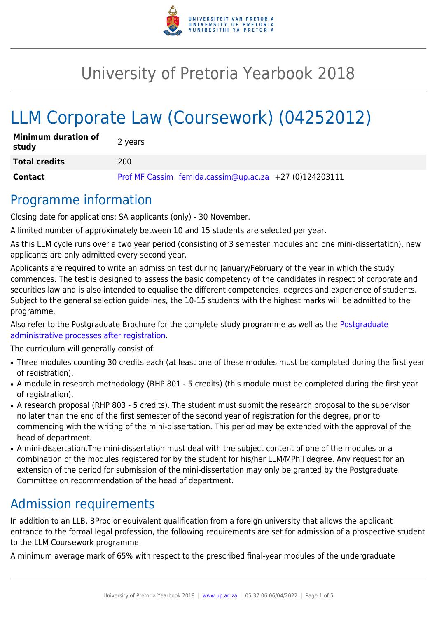

# University of Pretoria Yearbook 2018

# LLM Corporate Law (Coursework) (04252012)

| <b>Minimum duration of</b><br>study | 2 years                                                  |
|-------------------------------------|----------------------------------------------------------|
| <b>Total credits</b>                | 200                                                      |
| Contact                             | Prof MF Cassim femida.cassim@up.ac.za +27 $(0)124203111$ |

## Programme information

Closing date for applications: SA applicants (only) - 30 November.

A limited number of approximately between 10 and 15 students are selected per year.

As this LLM cycle runs over a two year period (consisting of 3 semester modules and one mini-dissertation), new applicants are only admitted every second year.

Applicants are required to write an admission test during January/February of the year in which the study commences. The test is designed to assess the basic competency of the candidates in respect of corporate and securities law and is also intended to equalise the different competencies, degrees and experience of students. Subject to the general selection guidelines, the 10-15 students with the highest marks will be admitted to the programme.

Also refer to the [Postgraduate](http://www.up.ac.za/media/shared/10/ZP_Files/post-graduate-administrative-processes-brochures-for-the-faculty-web.zp124870.pdf) Brochure for the complete study programme as well as the Postgraduate [administrative processes after registration.](http://www.up.ac.za/media/shared/10/ZP_Files/post-graduate-administrative-processes-brochures-for-the-faculty-web.zp124870.pdf)

The curriculum will generally consist of:

- Three modules counting 30 credits each (at least one of these modules must be completed during the first year of registration).
- A module in research methodology (RHP 801 5 credits) (this module must be completed during the first year of registration).
- A research proposal (RHP 803 5 credits). The student must submit the research proposal to the supervisor no later than the end of the first semester of the second year of registration for the degree, prior to commencing with the writing of the mini-dissertation. This period may be extended with the approval of the head of department.
- A mini-dissertation. The mini-dissertation must deal with the subject content of one of the modules or a combination of the modules registered for by the student for his/her LLM/MPhil degree. Any request for an extension of the period for submission of the mini-dissertation may only be granted by the Postgraduate Committee on recommendation of the head of department.

# Admission requirements

In addition to an LLB, BProc or equivalent qualification from a foreign university that allows the applicant entrance to the formal legal profession, the following requirements are set for admission of a prospective student to the LLM Coursework programme:

A minimum average mark of 65% with respect to the prescribed final-year modules of the undergraduate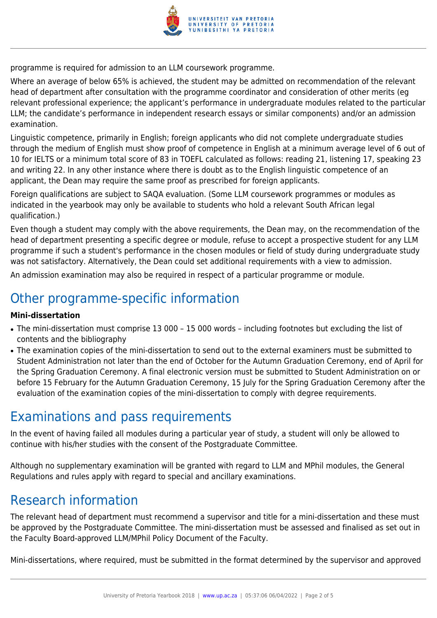

programme is required for admission to an LLM coursework programme.

Where an average of below 65% is achieved, the student may be admitted on recommendation of the relevant head of department after consultation with the programme coordinator and consideration of other merits (eg relevant professional experience; the applicant's performance in undergraduate modules related to the particular LLM; the candidate's performance in independent research essays or similar components) and/or an admission examination.

Linguistic competence, primarily in English; foreign applicants who did not complete undergraduate studies through the medium of English must show proof of competence in English at a minimum average level of 6 out of 10 for IELTS or a minimum total score of 83 in TOEFL calculated as follows: reading 21, listening 17, speaking 23 and writing 22. In any other instance where there is doubt as to the English linguistic competence of an applicant, the Dean may require the same proof as prescribed for foreign applicants.

Foreign qualifications are subject to SAQA evaluation. (Some LLM coursework programmes or modules as indicated in the yearbook may only be available to students who hold a relevant South African legal qualification.)

Even though a student may comply with the above requirements, the Dean may, on the recommendation of the head of department presenting a specific degree or module, refuse to accept a prospective student for any LLM programme if such a student's performance in the chosen modules or field of study during undergraduate study was not satisfactory. Alternatively, the Dean could set additional requirements with a view to admission.

An admission examination may also be required in respect of a particular programme or module.

# Other programme-specific information

#### **Mini-dissertation**

- The mini-dissertation must comprise 13 000 15 000 words including footnotes but excluding the list of contents and the bibliography
- The examination copies of the mini-dissertation to send out to the external examiners must be submitted to Student Administration not later than the end of October for the Autumn Graduation Ceremony, end of April for the Spring Graduation Ceremony. A final electronic version must be submitted to Student Administration on or before 15 February for the Autumn Graduation Ceremony, 15 July for the Spring Graduation Ceremony after the evaluation of the examination copies of the mini-dissertation to comply with degree requirements.

### Examinations and pass requirements

In the event of having failed all modules during a particular year of study, a student will only be allowed to continue with his/her studies with the consent of the Postgraduate Committee.

Although no supplementary examination will be granted with regard to LLM and MPhil modules, the General Regulations and rules apply with regard to special and ancillary examinations.

### Research information

The relevant head of department must recommend a supervisor and title for a mini-dissertation and these must be approved by the Postgraduate Committee. The mini-dissertation must be assessed and finalised as set out in the Faculty Board-approved LLM/MPhil Policy Document of the Faculty.

Mini-dissertations, where required, must be submitted in the format determined by the supervisor and approved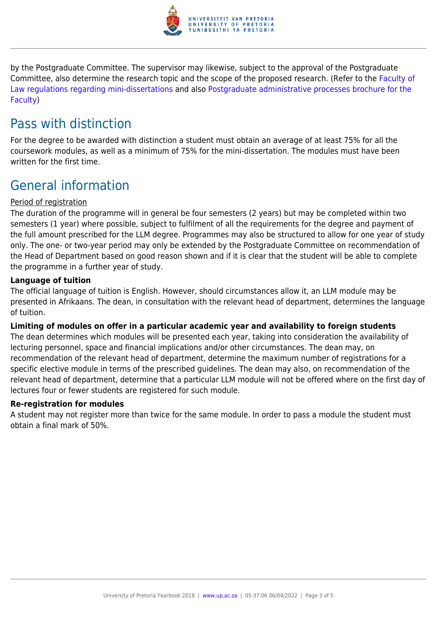

by the Postgraduate Committee. The supervisor may likewise, subject to the approval of the Postgraduate Committee, also determine the research topic and the scope of the proposed research. (Refer to the [Faculty of](http://www.up.ac.za/media/shared/10/ZP_Files/faculty-regulations-for-the-mini-dissertation.zp124872.pdf) [Law regulations regarding mini-dissertations](http://www.up.ac.za/media/shared/10/ZP_Files/faculty-regulations-for-the-mini-dissertation.zp124872.pdf) and also [Postgraduate administrative processes brochure for the](http://www.up.ac.za/media/shared/10/ZP_Files/post-graduate-administrative-processes-brochures-for-the-faculty-web.zp124870.pdf) [Faculty](http://www.up.ac.za/media/shared/10/ZP_Files/post-graduate-administrative-processes-brochures-for-the-faculty-web.zp124870.pdf))

# Pass with distinction

For the degree to be awarded with distinction a student must obtain an average of at least 75% for all the coursework modules, as well as a minimum of 75% for the mini-dissertation. The modules must have been written for the first time.

# General information

#### Period of registration

The duration of the programme will in general be four semesters (2 years) but may be completed within two semesters (1 year) where possible, subject to fulfilment of all the requirements for the degree and payment of the full amount prescribed for the LLM degree. Programmes may also be structured to allow for one year of study only. The one- or two-year period may only be extended by the Postgraduate Committee on recommendation of the Head of Department based on good reason shown and if it is clear that the student will be able to complete the programme in a further year of study.

#### **Language of tuition**

The official language of tuition is English. However, should circumstances allow it, an LLM module may be presented in Afrikaans. The dean, in consultation with the relevant head of department, determines the language of tuition.

#### **Limiting of modules on offer in a particular academic year and availability to foreign students**

The dean determines which modules will be presented each year, taking into consideration the availability of lecturing personnel, space and financial implications and/or other circumstances. The dean may, on recommendation of the relevant head of department, determine the maximum number of registrations for a specific elective module in terms of the prescribed guidelines. The dean may also, on recommendation of the relevant head of department, determine that a particular LLM module will not be offered where on the first day of lectures four or fewer students are registered for such module.

#### **Re-registration for modules**

A student may not register more than twice for the same module. In order to pass a module the student must obtain a final mark of 50%.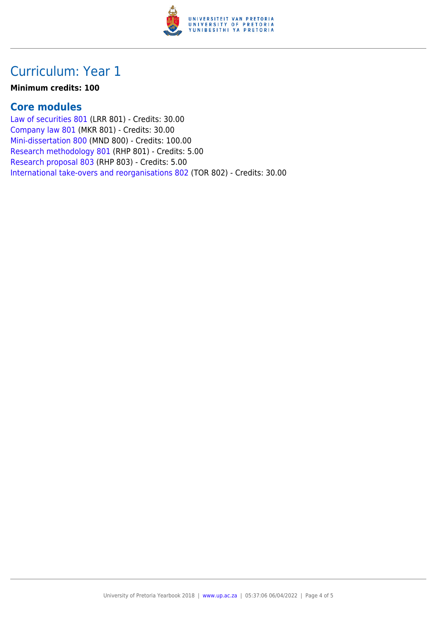

## Curriculum: Year 1

#### **Minimum credits: 100**

#### **Core modules**

[Law of securities 801](https://www.up.ac.za/yearbooks/2018/modules/view/LRR 801) (LRR 801) - Credits: 30.00 [Company law 801](https://www.up.ac.za/yearbooks/2018/modules/view/MKR 801) (MKR 801) - Credits: 30.00 [Mini-dissertation 800](https://www.up.ac.za/yearbooks/2018/modules/view/MND 800) (MND 800) - Credits: 100.00 [Research methodology 801](https://www.up.ac.za/yearbooks/2018/modules/view/RHP 801) (RHP 801) - Credits: 5.00 [Research proposal 803](https://www.up.ac.za/yearbooks/2018/modules/view/RHP 803) (RHP 803) - Credits: 5.00 [International take-overs and reorganisations 802](https://www.up.ac.za/yearbooks/2018/modules/view/TOR 802) (TOR 802) - Credits: 30.00